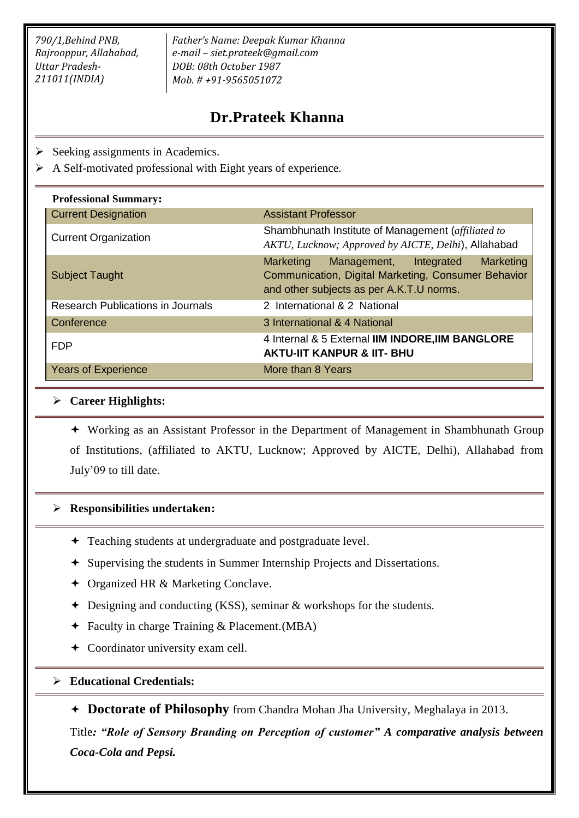*790/1,Behind PNB, Rajrooppur, Allahabad, Uttar Pradesh-211011(INDIA)*

*Father's Name: Deepak Kumar Khanna e-mail – siet.prateek@gmail.com DOB: 08th October 1987 Mob. # +91-9565051072*

# **Dr.Prateek Khanna**

- $\triangleright$  Seeking assignments in Academics.
- $\triangleright$  A Self-motivated professional with Eight years of experience.

| <b>Professional Summary:</b>             |                                                                                                                                                               |
|------------------------------------------|---------------------------------------------------------------------------------------------------------------------------------------------------------------|
| <b>Current Designation</b>               | <b>Assistant Professor</b>                                                                                                                                    |
| <b>Current Organization</b>              | Shambhunath Institute of Management (affiliated to<br>AKTU, Lucknow; Approved by AICTE, Delhi), Allahabad                                                     |
| <b>Subject Taught</b>                    | Marketing<br><b>Marketing</b><br>Management,<br>Integrated<br>Communication, Digital Marketing, Consumer Behavior<br>and other subjects as per A.K.T.U norms. |
| <b>Research Publications in Journals</b> | 2 International & 2 National                                                                                                                                  |
| Conference                               | 3 International & 4 National                                                                                                                                  |
| <b>FDP</b>                               | 4 Internal & 5 External IIM INDORE, IIM BANGLORE<br><b>AKTU-IIT KANPUR &amp; IIT- BHU</b>                                                                     |
| <b>Years of Experience</b>               | More than 8 Years                                                                                                                                             |

#### **Career Highlights:**

 Working as an Assistant Professor in the Department of Management in Shambhunath Group of Institutions, (affiliated to AKTU, Lucknow; Approved by AICTE, Delhi), Allahabad from July'09 to till date.

## **Responsibilities undertaken:**

- Teaching students at undergraduate and postgraduate level.
- Supervising the students in Summer Internship Projects and Dissertations.
- **←** Organized HR & Marketing Conclave.
- Designing and conducting (KSS), seminar & workshops for the students.
- Faculty in charge Training & Placement.(MBA)
- Coordinator university exam cell.
- **Educational Credentials:**

**Doctorate of Philosophy** from Chandra Mohan Jha University, Meghalaya in 2013.

Title*: "Role of Sensory Branding on Perception of customer" A comparative analysis between Coca-Cola and Pepsi.*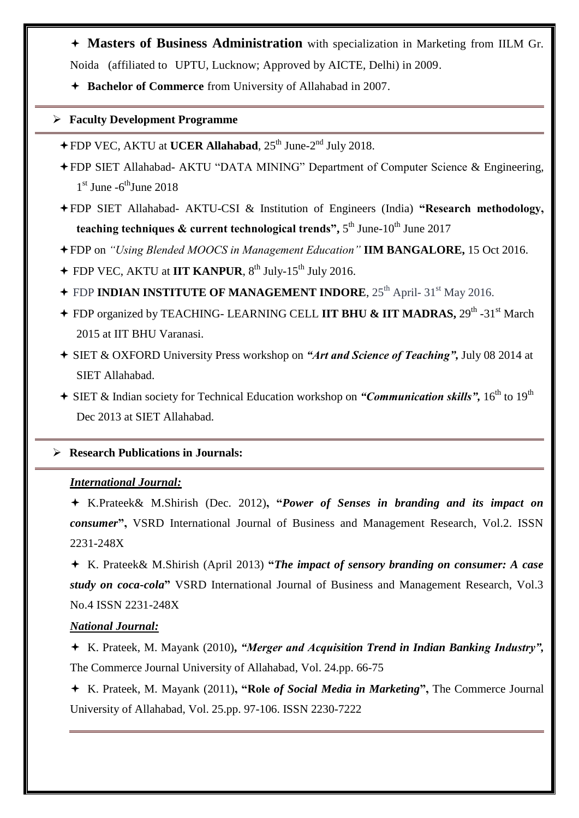- **Masters of Business Administration** with specialization in Marketing from IILM Gr. Noida (affiliated to UPTU, Lucknow; Approved by AICTE, Delhi) in 2009.
- **Bachelor of Commerce** from University of Allahabad in 2007.

## **Faculty Development Programme**

- **+ FDP VEC, AKTU at UCER Allahabad, 25<sup>th</sup> June-2<sup>nd</sup> July 2018.**
- FDP SIET Allahabad- AKTU "DATA MINING" Department of Computer Science & Engineering,  $1<sup>st</sup>$  June -6<sup>th</sup>June 2018
- FDP SIET Allahabad- AKTU-CSI & Institution of Engineers (India) **"Research methodology, teaching techniques & current technological trends",** 5<sup>th</sup> June-10<sup>th</sup> June 2017
- FDP on *"Using Blended MOOCS in Management Education"* **IIM BANGALORE,** 15 Oct 2016.
- **← FDP VEC, AKTU at IIT KANPUR, 8<sup>th</sup> July-15<sup>th</sup> July 2016.**
- + FDP **INDIAN INSTITUTE OF MANAGEMENT INDORE**, 25<sup>th</sup> April- 31<sup>st</sup> May 2016.
- + FDP organized by TEACHING- LEARNING CELL IIT BHU & IIT MADRAS, 29<sup>th</sup> -31<sup>st</sup> March 2015 at IIT BHU Varanasi.
- SIET & OXFORD University Press workshop on *"Art and Science of Teaching",* July 08 2014 at SIET Allahabad.
- + SIET & Indian society for Technical Education workshop on *"Communication skills"*, 16<sup>th</sup> to 19<sup>th</sup> Dec 2013 at SIET Allahabad.

## **Research Publications in Journals:**

## *International Journal:*

 K.Prateek& M.Shirish (Dec. 2012)**, "***Power of Senses in branding and its impact on consumer***",** VSRD International Journal of Business and Management Research, Vol.2. ISSN 2231-248X

 K. Prateek& M.Shirish (April 2013) **"***The impact of sensory branding on consumer: A case study on coca-cola***"** VSRD International Journal of Business and Management Research, Vol.3 No.4 ISSN 2231-248X

## *National Journal:*

 K. Prateek, M. Mayank (2010)**,** *"Merger and Acquisition Trend in Indian Banking Industry",*  The Commerce Journal University of Allahabad, Vol. 24.pp. 66-75

 K. Prateek, M. Mayank (2011)**, "Role** *of Social Media in Marketing***",** The Commerce Journal University of Allahabad, Vol. 25.pp. 97-106. ISSN 2230-7222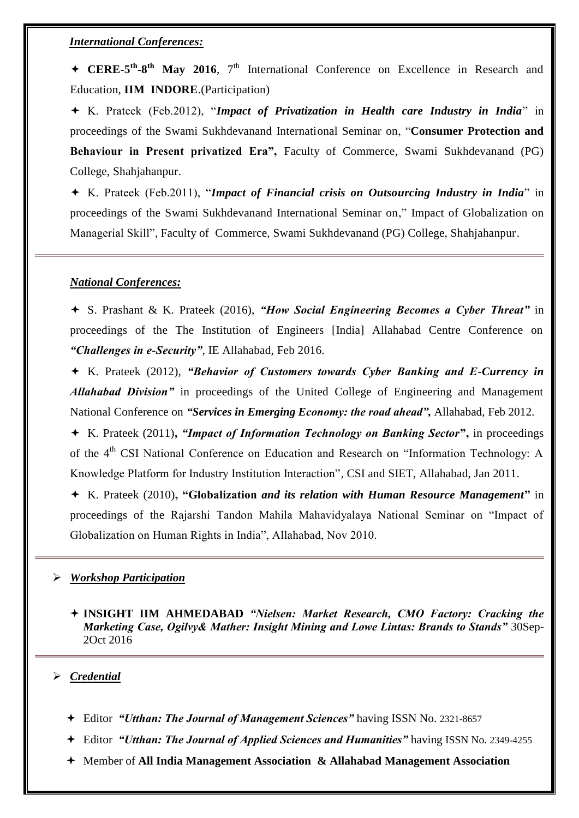#### *International Conferences:*

+ CERE-5<sup>th</sup>-8<sup>th</sup> May 2016, 7<sup>th</sup> International Conference on Excellence in Research and Education, **IIM INDORE**.(Participation)

 K. Prateek (Feb.2012), "*Impact of Privatization in Health care Industry in India*" in proceedings of the Swami Sukhdevanand International Seminar on, "**Consumer Protection and Behaviour in Present privatized Era",** Faculty of Commerce, Swami Sukhdevanand (PG) College, Shahjahanpur.

 K. Prateek (Feb.2011), "*Impact of Financial crisis on Outsourcing Industry in India*" in proceedings of the Swami Sukhdevanand International Seminar on," Impact of Globalization on Managerial Skill", Faculty of Commerce, Swami Sukhdevanand (PG) College, Shahjahanpur.

#### *National Conferences:*

 S. Prashant & K. Prateek (2016), *"How Social Engineering Becomes a Cyber Threat"* in proceedings of the The Institution of Engineers [India] Allahabad Centre Conference on *"Challenges in e-Security"*, IE Allahabad, Feb 2016.

 K. Prateek (2012), *"Behavior of Customers towards Cyber Banking and E-Currency in Allahabad Division"* in proceedings of the United College of Engineering and Management National Conference on *"Services in Emerging Economy: the road ahead",* Allahabad, Feb 2012.

 K. Prateek (2011)**,** *"Impact of Information Technology on Banking Sector***",** in proceedings of the 4<sup>th</sup> CSI National Conference on Education and Research on "Information Technology: A Knowledge Platform for Industry Institution Interaction", CSI and SIET, Allahabad, Jan 2011.

 K. Prateek (2010)**, "Globalization** *and its relation with Human Resource Management***"** in proceedings of the Rajarshi Tandon Mahila Mahavidyalaya National Seminar on "Impact of Globalization on Human Rights in India", Allahabad, Nov 2010.

#### *Workshop Participation*

 **INSIGHT IIM AHMEDABAD** *"Nielsen: Market Research, CMO Factory: Cracking the Marketing Case, Ogilvy& Mather: Insight Mining and Lowe Lintas: Brands to Stands"* 30Sep-2Oct 2016

#### *Credential*

- Editor *"Utthan: The Journal of Management Sciences"* having ISSN No. 2321-8657
- Editor *"Utthan: The Journal of Applied Sciences and Humanities"* having ISSN No. 2349-4255
- Member of **All India Management Association & Allahabad Management Association**